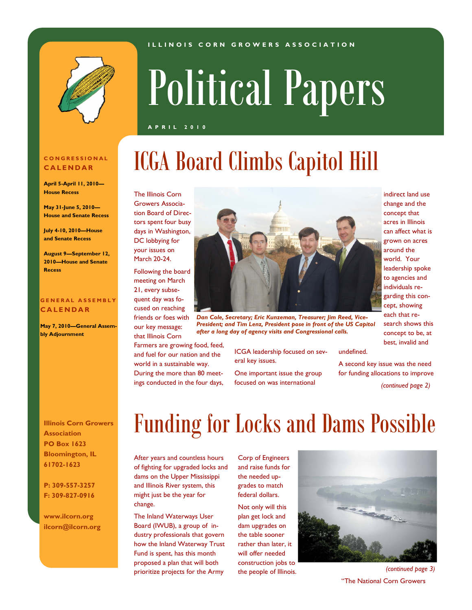#### **I L L I N O I S C O R N G R O W E R S A S S O C I A T I O N**



# Political Papers

### **A P R I L 2 0 1 0**

## ICGA Board Climbs Capitol Hill

The Illinois Corn Growers Association Board of Directors spent four busy days in Washington, DC lobbying for your issues on March 20-24.

Following the board meeting on March 21, every subsequent day was focused on reaching

friends or foes with our key message: that Illinois Corn Farmers are growing food, feed,

and fuel for our nation and the world in a sustainable way. During the more than 80 meetings conducted in the four days,



*Dan Cole, Secretary; Eric Kunzeman, Treasurer; Jim Reed, Vice-President; and Tim Lenz, President pose in front of the US Capitol after a long day of agency visits and Congressional calls.*

ICGA leadership focused on several key issues.

One important issue the group focused on was international

indirect land use change and the concept that acres in Illinois can affect what is grown on acres around the world. Your leadership spoke to agencies and individuals regarding this concept, showing each that research shows this concept to be, at best, invalid and

undefined.

A second key issue was the need for funding allocations to improve

 *(continued page 2)* 

**Illinois Corn Growers Association PO Box 1623 Bloomington, IL 61702-1623**

**P: 309-557-3257 F: 309-827-0916**

**www.ilcorn.org ilcorn@ilcorn.org**

### Funding for Locks and Dams Possible

After years and countless hours of fighting for upgraded locks and dams on the Upper Mississippi and Illinois River system, this might just be the year for change.

The Inland Waterways User Board (IWUB), a group of industry professionals that govern how the Inland Waterway Trust Fund is spent, has this month proposed a plan that will both prioritize projects for the Army

Corp of Engineers and raise funds for the needed upgrades to match federal dollars.

Not only will this plan get lock and dam upgrades on the table sooner rather than later, it will offer needed construction jobs to



the people of Illinois. *(continued page 3)* "The National Corn Growers

#### **C O N G R E S S I O N A L C A L E N D A R**

**April 5-April 11, 2010— House Recess**

**May 31-June 5, 2010— House and Senate Recess**

**July 4-10, 2010—House and Senate Recess**

**August 9—September 12, 2010—House and Senate Recess**

### **G E N E R A L A S S E M B L Y C A L E N D A R**

**May 7, 2010—General Assembly Adjournment**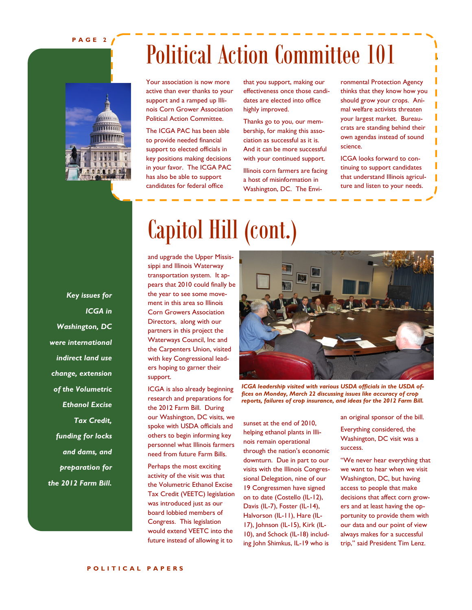**P A G E 2**

Political Action Committee 101

Your association is now more active than ever thanks to your support and a ramped up Illinois Corn Grower Association Political Action Committee.

The ICGA PAC has been able to provide needed financial support to elected officials in key positions making decisions in your favor. The ICGA PAC has also be able to support candidates for federal office

that you support, making our effectiveness once those candidates are elected into office highly improved.

Thanks go to you, our membership, for making this association as successful as it is. And it can be more successful with your continued support.

Illinois corn farmers are facing a host of misinformation in Washington, DC. The Environmental Protection Agency thinks that they know how you should grow your crops. Animal welfare activists threaten your largest market. Bureaucrats are standing behind their own agendas instead of sound science.

ICGA looks forward to continuing to support candidates that understand Illinois agriculture and listen to your needs.

*Key issues for ICGA in Washington, DC were international indirect land use change, extension of the Volumetric Ethanol Excise Tax Credit, funding for locks and dams, and preparation for the 2012 Farm Bill.*

# Capitol Hill (cont.)

and upgrade the Upper Mississippi and Illinois Waterway transportation system. It appears that 2010 could finally be the year to see some movement in this area so Illinois Corn Growers Association Directors, along with our partners in this project the Waterways Council, Inc and the Carpenters Union, visited with key Congressional leaders hoping to garner their support.

ICGA is also already beginning research and preparations for the 2012 Farm Bill. During our Washington, DC visits, we spoke with USDA officials and others to begin informing key personnel what Illinois farmers need from future Farm Bills.

Perhaps the most exciting activity of the visit was that the Volumetric Ethanol Excise Tax Credit (VEETC) legislation was introduced just as our board lobbied members of Congress. This legislation would extend VEETC into the future instead of allowing it to



*ICGA leadership visited with various USDA officials in the USDA offices on Monday, March 22 discussing issues like accuracy of crop reports, failures of crop insurance, and ideas for the 2012 Farm Bill.* 

sunset at the end of 2010, helping ethanol plants in Illinois remain operational through the nation's economic downturn. Due in part to our visits with the Illinois Congressional Delegation, nine of our 19 Congressmen have signed on to date (Costello (IL-12), Davis (IL-7), Foster (IL-14), Halvorson (IL-11), Hare (IL-17), Johnson (IL-15), Kirk (IL-10), and Schock (IL-18) including John Shimkus, IL-19 who is an original sponsor of the bill.

Everything considered, the Washington, DC visit was a success.

"We never hear everything that we want to hear when we visit Washington, DC, but having access to people that make decisions that affect corn growers and at least having the opportunity to provide them with our data and our point of view always makes for a successful trip," said President Tim Lenz.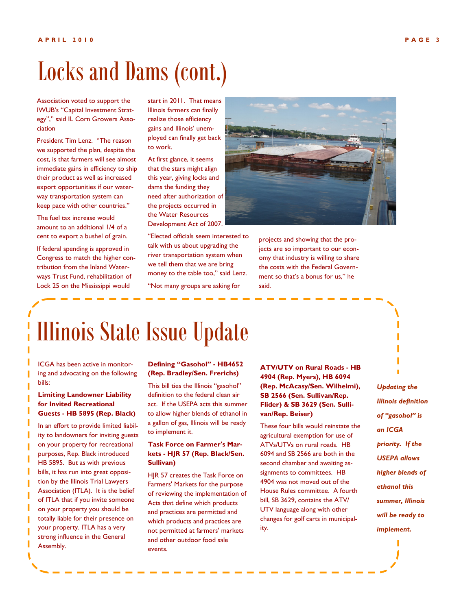## Locks and Dams (cont.)

Association voted to support the IWUB's "Capital Investment Strategy"," said IL Corn Growers Association

President Tim Lenz. "The reason we supported the plan, despite the cost, is that farmers will see almost immediate gains in efficiency to ship their product as well as increased export opportunities if our waterway transportation system can keep pace with other countries."

The fuel tax increase would amount to an additional 1/4 of a cent to export a bushel of grain.

If federal spending is approved in Congress to match the higher contribution from the Inland Waterways Trust Fund, rehabilitation of Lock 25 on the Mississippi would

start in 2011. That means Illinois farmers can finally realize those efficiency gains and Illinois' unemployed can finally get back to work.

At first glance, it seems that the stars might align this year, giving locks and dams the funding they need after authorization of the projects occurred in the Water Resources Development Act of 2007.

"Elected officials seem interested to talk with us about upgrading the river transportation system when we tell them that we are bring money to the table too," said Lenz. "Not many groups are asking for



projects and showing that the projects are so important to our economy that industry is willing to share the costs with the Federal Government so that's a bonus for us," he said.

### Illinois State Issue Update

ICGA has been active in monitoring and advocating on the following bills:

### **Limiting Landowner Liability for Invited Recreational Guests - HB 5895 (Rep. Black)**

In an effort to provide limited liability to landowners for inviting guests on your property for recreational purposes, Rep. Black introduced HB 5895. But as with previous bills, it has run into great opposition by the Illinois Trial Lawyers Association (ITLA). It is the belief of ITLA that if you invite someone on your property you should be totally liable for their presence on your property. ITLA has a very strong influence in the General Assembly.

#### **Defining "Gasohol" - HB4652 (Rep. Bradley/Sen. Frerichs)**

This bill ties the Illinois "gasohol" definition to the federal clean air act. If the USEPA acts this summer to allow higher blends of ethanol in a gallon of gas, Illinois will be ready to implement it.

### **Task Force on Farmer's Markets - HJR 57 (Rep. Black/Sen. Sullivan)**

HJR 57 creates the Task Force on Farmers' Markets for the purpose of reviewing the implementation of Acts that define which products and practices are permitted and which products and practices are not permitted at farmers' markets and other outdoor food sale events.

**ATV/UTV on Rural Roads - HB 4904 (Rep. Myers), HB 6094 (Rep. McAcasy/Sen. Wilhelmi), SB 2566 (Sen. Sullivan/Rep. Flider) & SB 3629 (Sen. Sullivan/Rep. Beiser)**

These four bills would reinstate the agricultural exemption for use of ATVs/UTVs on rural roads. HB 6094 and SB 2566 are both in the second chamber and awaiting assignments to committees. HB 4904 was not moved out of the House Rules committee. A fourth bill, SB 3629, contains the ATV/ UTV language along with other changes for golf carts in municipality.

*Updating the Illinois definition of "gasohol" is an ICGA priority. If the USEPA allows higher blends of ethanol this summer, Illinois will be ready to implement.*